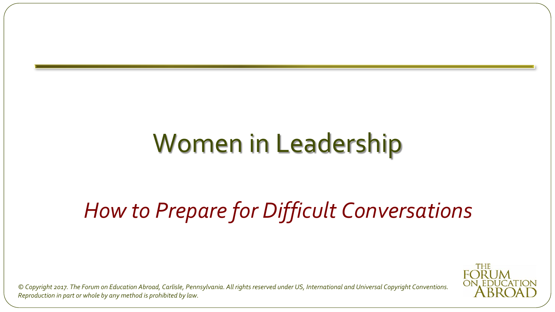### Women in Leadership

#### *How to Prepare for Difficult Conversations*

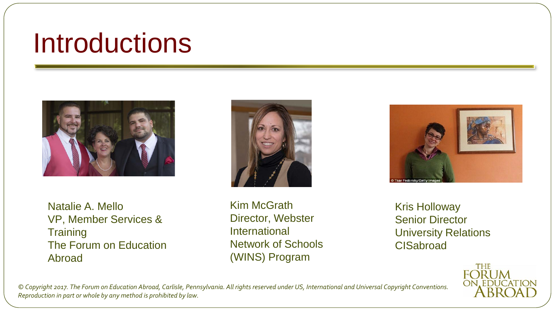#### Introductions



Natalie A. Mello VP, Member Services & **Training** The Forum on Education Abroad



Kim McGrath Director, Webster International Network of Schools (WINS) Program



Kris Holloway Senior Director University Relations **CISabroad** 

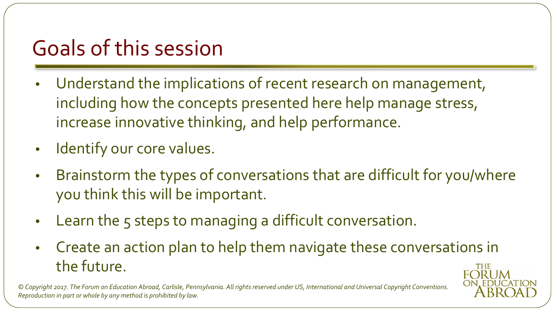#### Goals of this session

- Understand the implications of recent research on management, including how the concepts presented here help manage stress, increase innovative thinking, and help performance.
- Identify our core values.
- Brainstorm the types of conversations that are difficult for you/where you think this will be important.
- Learn the 5 steps to managing a difficult conversation.
- Create an action plan to help them navigate these conversations in the future.THE **FORUM**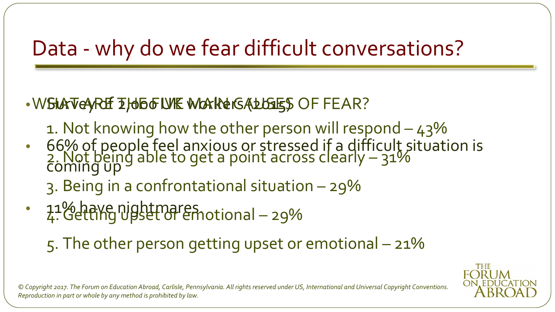#### Data - why do we fear difficult conversations?

#### .WSLATE YOR THO TO WE WORKERS ALLSTES OF FEAR?

- 1. Not knowing how the other person will respond  $-43%$
- 66% of people feel anxious or stressed if a difficult situation is coming up 2.Not being able to get a point across clearly – 31%

3. Being in a confrontational situation – 29%

• 11% have nightmares. 4.Getting upset or emotional – 29%

5. The other person getting upset or emotional – 21%

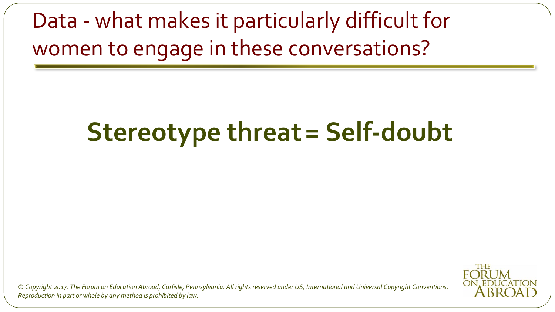Data - what makes it particularly difficult for women to engage in these conversations?

### **Stereotype threat= Self-doubt**

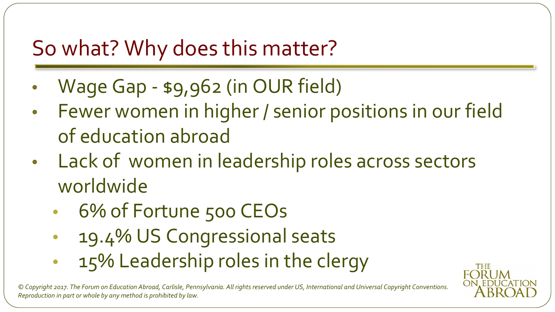#### So what? Why does this matter?

- Wage Gap \$9,962 (in OUR field)
- Fewer women in higher / senior positions in our field of education abroad
- Lack of women in leadership roles across sectors worldwide
	- 6% of Fortune 500 CEOs
	- 19.4% US Congressional seats
	- 15% Leadership roles in the clergy

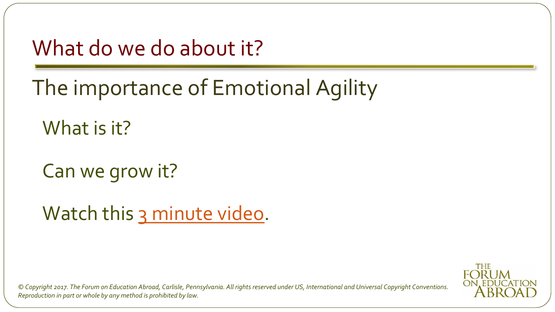What do we do about it?

The importance of Emotional Agility

What is it?

Can we grow it?

Watch this [3 minute video.](https://hbr.org/video/2804434484001/build-your-emotional-agility)

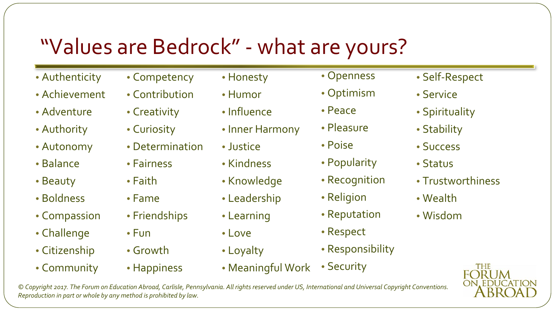#### "Values are Bedrock" - what are yours?

- Authenticity
- Achievement
- Adventure
- Authority
- Autonomy
- Balance
- Beauty
- Boldness
- Compassion
- Challenge
- Citizenship
- Community
- Competency
- Contribution
- Creativity
- Curiosity
- Determination
- Fairness
- Faith
- Fame
- Friendships
- Fun
- Growth
- Happiness
- Honesty
- Humor
- Influence
- Inner Harmony
- Justice
- Kindness
- Knowledge
- Leadership
- Learning
- Love
- Loyalty
- Meaningful Work • Security
- Openness
- Optimism
- Peace
- Pleasure
- Poise
- Popularity
- Recognition
- Religion
- Reputation
- Respect
- Responsibility
- Self-Respect
- Service
- Spirituality
- Stability
- Success
- Status
- Trustworthiness
- Wealth
- Wisdom

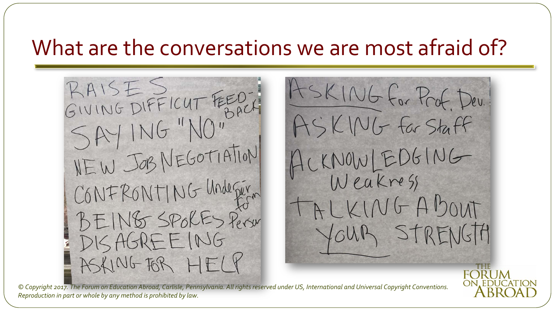#### What are the conversations we are most afraid of?

RAISES RAISES CUT FEOT NEW JOB NEGOTIATION CONFRONTING Underger DISAGREEING ASKING FOR HELY

ASKING For Prof. Dev. ASKING For Staff ACKNOWLEDGING TALKINGABOUT AB STRENGTA

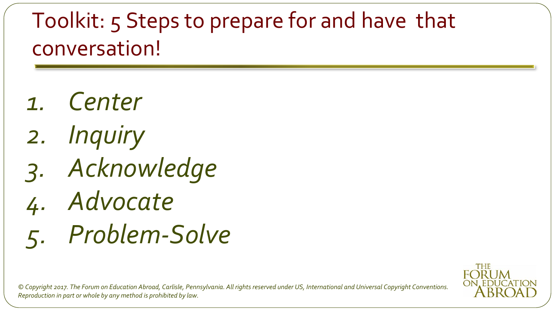#### Toolkit: 5 Steps to prepare for and have that conversation!

- *1. Center*
- *2. Inquiry*
- *3. Acknowledge*
- *4. Advocate*
- *5. Problem-Solve*

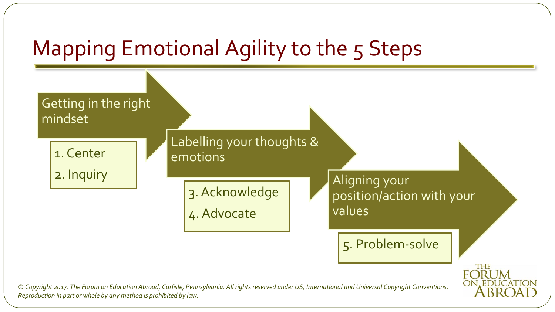#### Mapping Emotional Agility to the 5 Steps

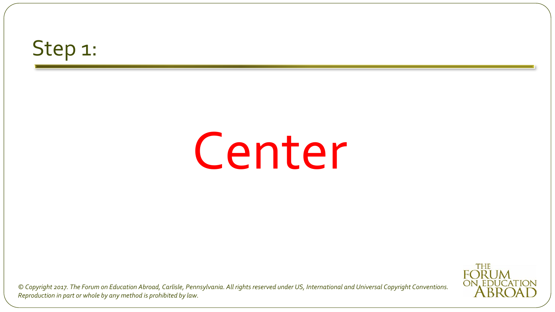#### Step 1:

### Center

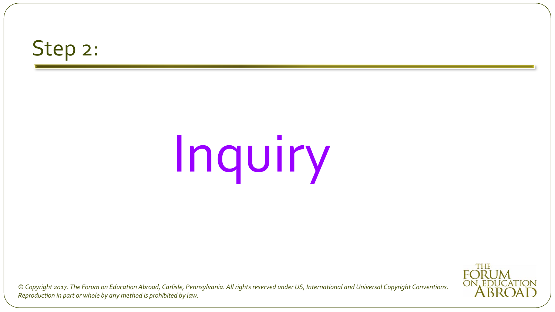#### Step 2:

# Inquiry

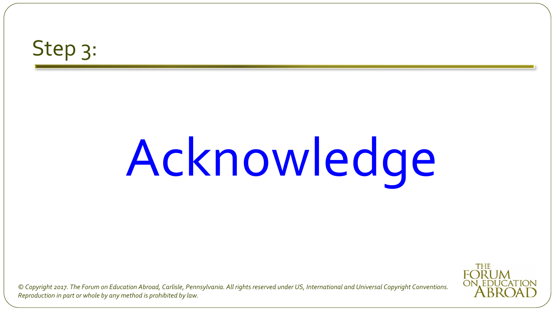#### Step 3:

# Acknowledge

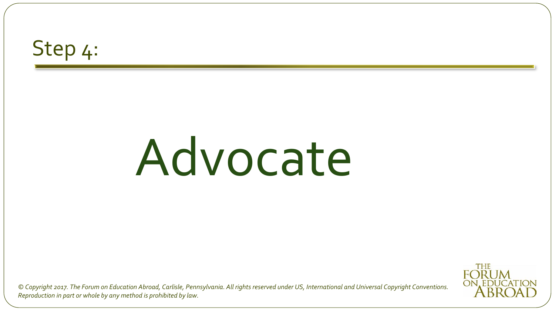#### Step 4:

## Advocate

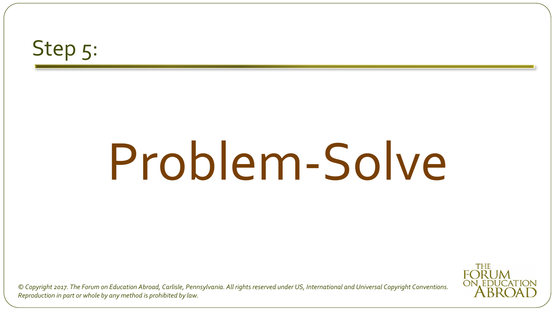#### Step 5:

## Problem-Solve

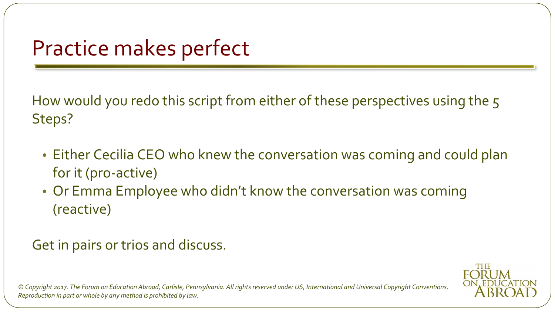#### Practice makes perfect

How would you redo this script from either of these perspectives using the 5 Steps?

- Either Cecilia CEO who knew the conversation was coming and could plan for it (pro-active)
- Or Emma Employee who didn't know the conversation was coming (reactive)

#### Get in pairs or trios and discuss.

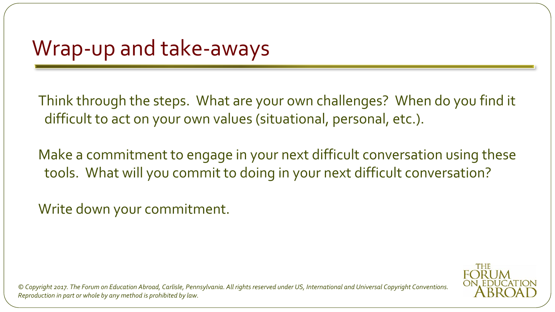#### Wrap-up and take-aways

Think through the steps. What are your own challenges? When do you find it difficult to act on your own values (situational, personal, etc.).

Make a commitment to engage in your next difficult conversation using these tools. What will you commit to doing in your next difficult conversation?

Write down your commitment.